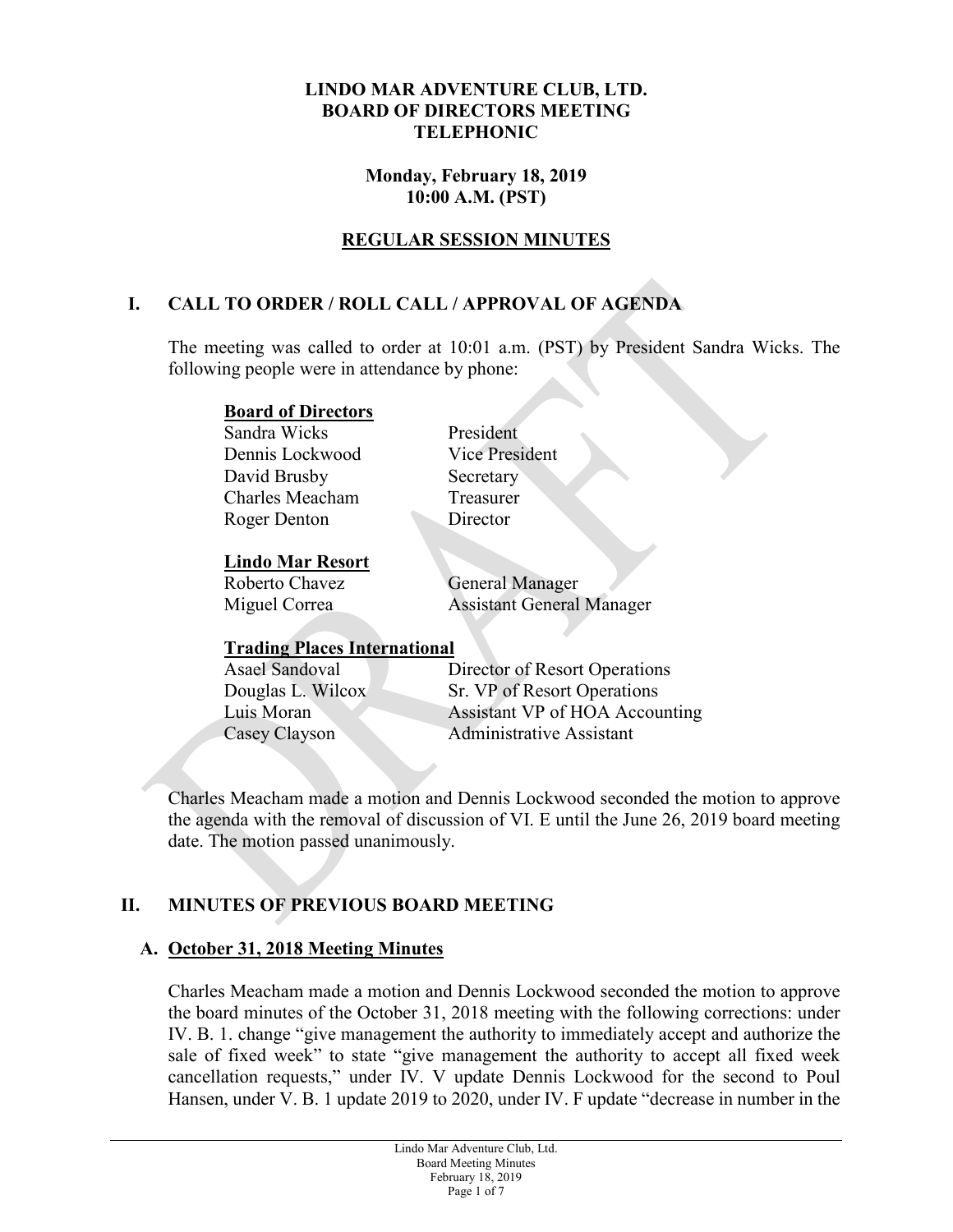#### **LINDO MAR ADVENTURE CLUB, LTD. BOARD OF DIRECTORS MEETING TELEPHONIC**

#### **Monday, February 18, 2019 10:00 A.M. (PST)**

## **REGULAR SESSION MINUTES**

## **I. CALL TO ORDER / ROLL CALL / APPROVAL OF AGENDA**

The meeting was called to order at 10:01 a.m. (PST) by President Sandra Wicks. The following people were in attendance by phone:

#### **Board of Directors**

Sandra Wicks President Dennis Lockwood Vice President David Brusby Secretary Charles Meacham Treasurer Roger Denton Director

#### **Lindo Mar Resort**

Roberto Chavez **General Manager** 

Miguel Correa Assistant General Manager

# **Trading Places International**

Director of Resort Operations Douglas L. Wilcox Sr. VP of Resort Operations Luis Moran Assistant VP of HOA Accounting Casey Clayson Administrative Assistant

Charles Meacham made a motion and Dennis Lockwood seconded the motion to approve the agenda with the removal of discussion of VI. E until the June 26, 2019 board meeting date. The motion passed unanimously.

## **II. MINUTES OF PREVIOUS BOARD MEETING**

## **A. October 31, 2018 Meeting Minutes**

Charles Meacham made a motion and Dennis Lockwood seconded the motion to approve the board minutes of the October 31, 2018 meeting with the following corrections: under IV. B. 1. change "give management the authority to immediately accept and authorize the sale of fixed week" to state "give management the authority to accept all fixed week cancellation requests," under IV. V update Dennis Lockwood for the second to Poul Hansen, under V. B. 1 update 2019 to 2020, under IV. F update "decrease in number in the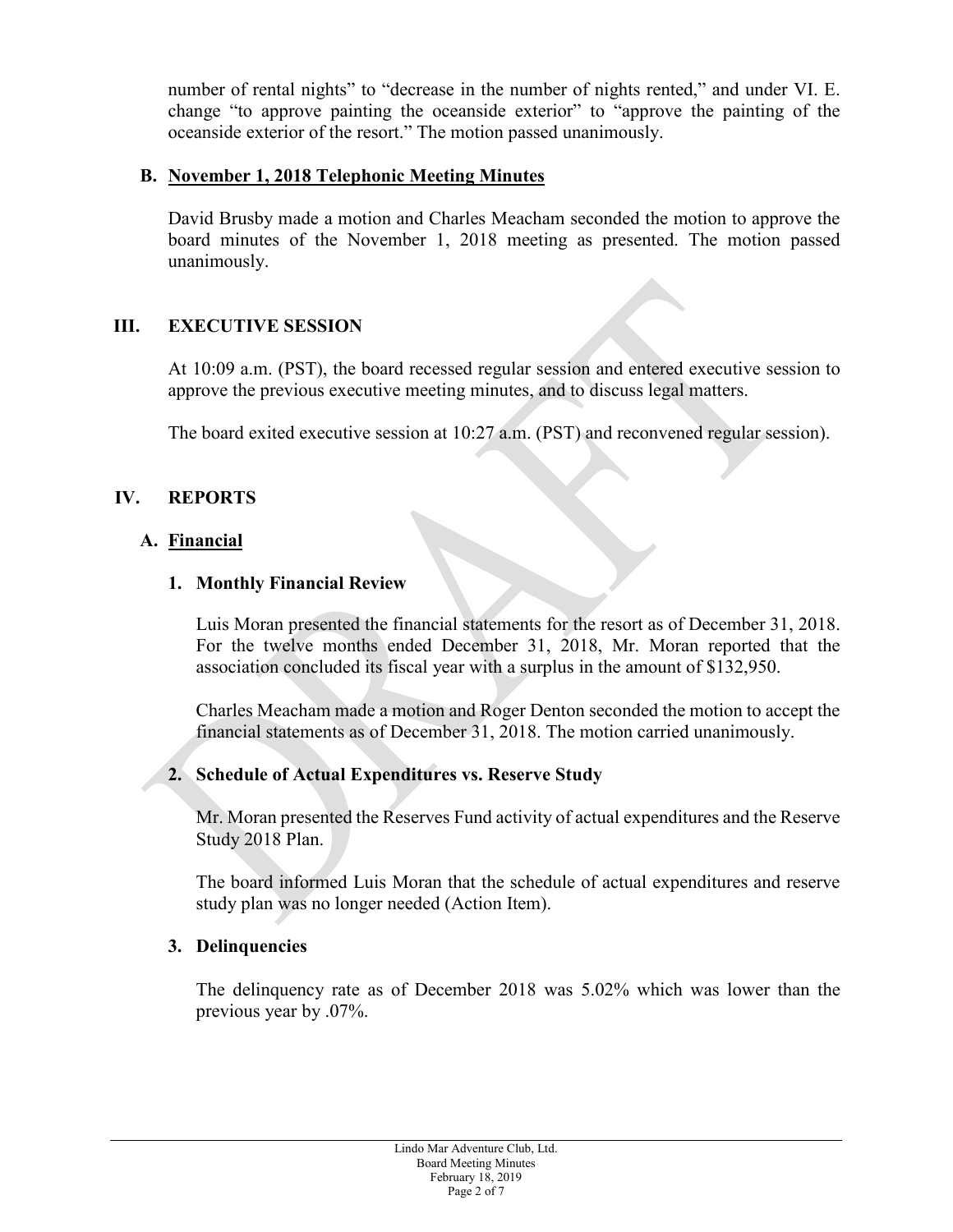number of rental nights" to "decrease in the number of nights rented," and under VI. E. change "to approve painting the oceanside exterior" to "approve the painting of the oceanside exterior of the resort." The motion passed unanimously.

#### **B. November 1, 2018 Telephonic Meeting Minutes**

David Brusby made a motion and Charles Meacham seconded the motion to approve the board minutes of the November 1, 2018 meeting as presented. The motion passed unanimously.

## **III. EXECUTIVE SESSION**

At 10:09 a.m. (PST), the board recessed regular session and entered executive session to approve the previous executive meeting minutes, and to discuss legal matters.

The board exited executive session at 10:27 a.m. (PST) and reconvened regular session).

## **IV. REPORTS**

#### **A. Financial**

#### **1. Monthly Financial Review**

Luis Moran presented the financial statements for the resort as of December 31, 2018. For the twelve months ended December 31, 2018, Mr. Moran reported that the association concluded its fiscal year with a surplus in the amount of \$132,950.

Charles Meacham made a motion and Roger Denton seconded the motion to accept the financial statements as of December 31, 2018. The motion carried unanimously.

## **2. Schedule of Actual Expenditures vs. Reserve Study**

Mr. Moran presented the Reserves Fund activity of actual expenditures and the Reserve Study 2018 Plan.

The board informed Luis Moran that the schedule of actual expenditures and reserve study plan was no longer needed (Action Item).

#### **3. Delinquencies**

The delinquency rate as of December 2018 was 5.02% which was lower than the previous year by .07%.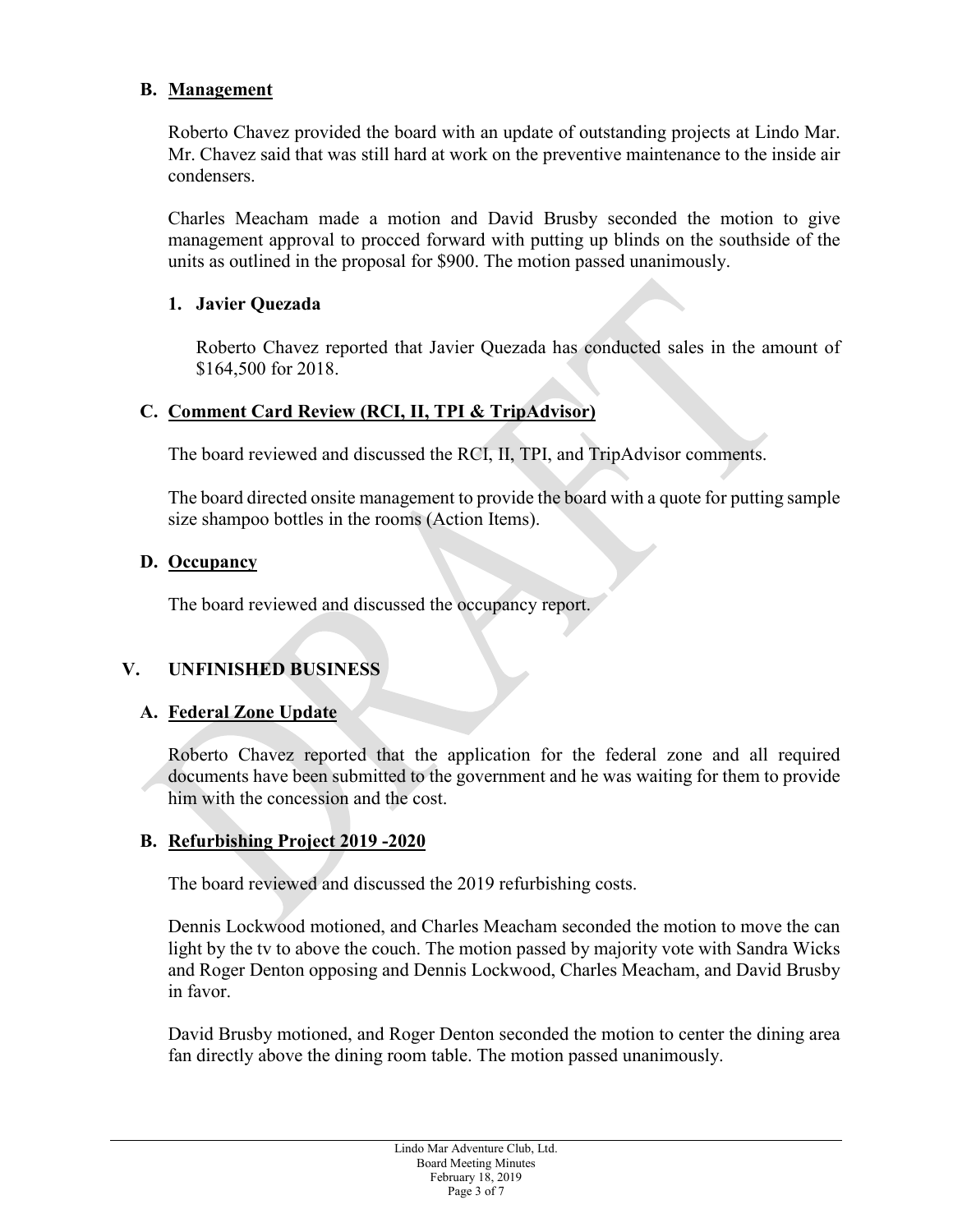#### **B. Management**

Roberto Chavez provided the board with an update of outstanding projects at Lindo Mar. Mr. Chavez said that was still hard at work on the preventive maintenance to the inside air condensers.

Charles Meacham made a motion and David Brusby seconded the motion to give management approval to procced forward with putting up blinds on the southside of the units as outlined in the proposal for \$900. The motion passed unanimously.

#### **1. Javier Quezada**

Roberto Chavez reported that Javier Quezada has conducted sales in the amount of \$164,500 for 2018.

#### **C. Comment Card Review (RCI, II, TPI & TripAdvisor)**

The board reviewed and discussed the RCI, II, TPI, and TripAdvisor comments.

The board directed onsite management to provide the board with a quote for putting sample size shampoo bottles in the rooms (Action Items).

#### **D. Occupancy**

The board reviewed and discussed the occupancy report.

## **V. UNFINISHED BUSINESS**

## **A. Federal Zone Update**

Roberto Chavez reported that the application for the federal zone and all required documents have been submitted to the government and he was waiting for them to provide him with the concession and the cost.

## **B. Refurbishing Project 2019 -2020**

The board reviewed and discussed the 2019 refurbishing costs.

Dennis Lockwood motioned, and Charles Meacham seconded the motion to move the can light by the tv to above the couch. The motion passed by majority vote with Sandra Wicks and Roger Denton opposing and Dennis Lockwood, Charles Meacham, and David Brusby in favor.

David Brusby motioned, and Roger Denton seconded the motion to center the dining area fan directly above the dining room table. The motion passed unanimously.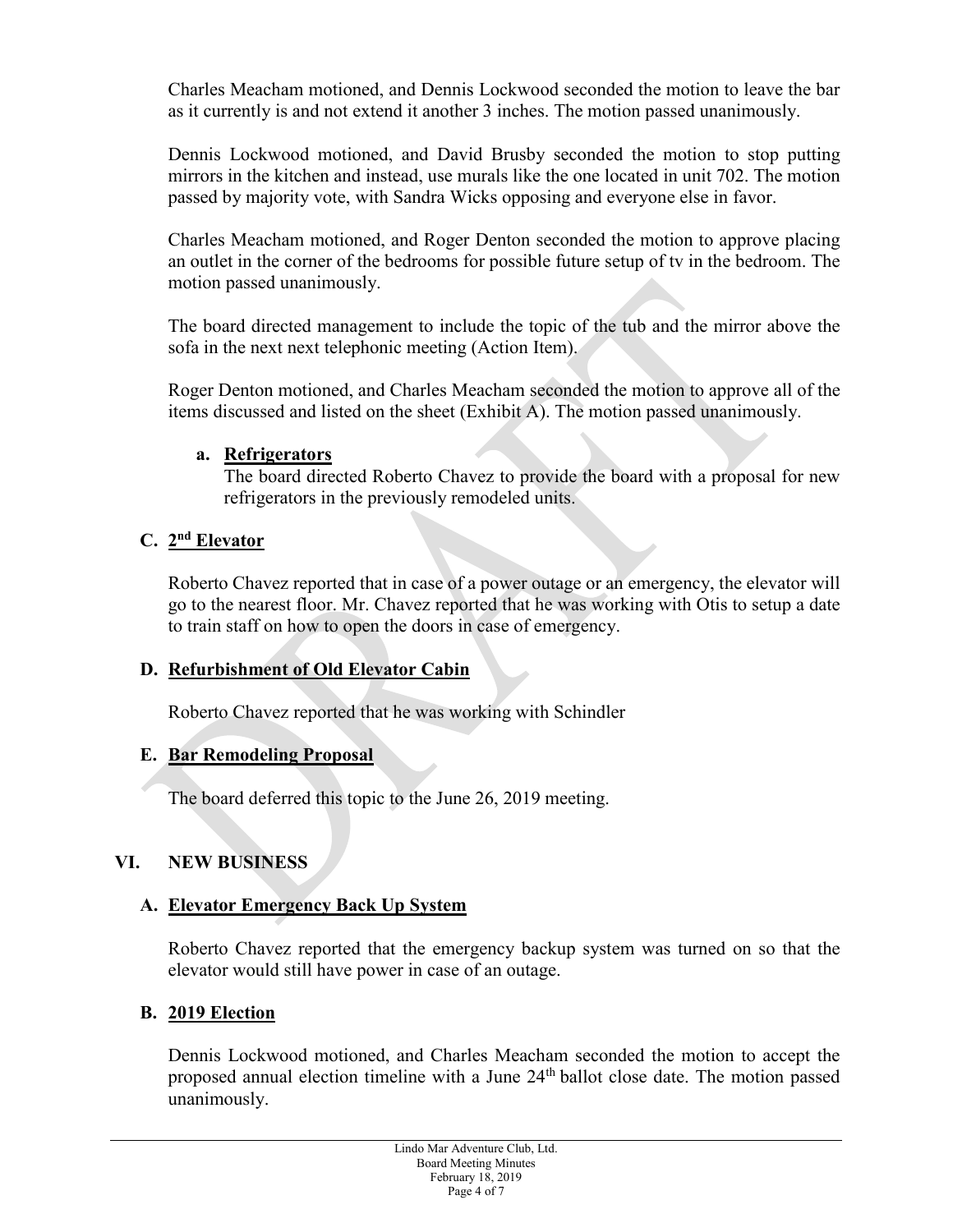Charles Meacham motioned, and Dennis Lockwood seconded the motion to leave the bar as it currently is and not extend it another 3 inches. The motion passed unanimously.

Dennis Lockwood motioned, and David Brusby seconded the motion to stop putting mirrors in the kitchen and instead, use murals like the one located in unit 702. The motion passed by majority vote, with Sandra Wicks opposing and everyone else in favor.

Charles Meacham motioned, and Roger Denton seconded the motion to approve placing an outlet in the corner of the bedrooms for possible future setup of tv in the bedroom. The motion passed unanimously.

The board directed management to include the topic of the tub and the mirror above the sofa in the next next telephonic meeting (Action Item).

Roger Denton motioned, and Charles Meacham seconded the motion to approve all of the items discussed and listed on the sheet (Exhibit A). The motion passed unanimously.

#### **a. Refrigerators**

The board directed Roberto Chavez to provide the board with a proposal for new refrigerators in the previously remodeled units.

## **C. 2nd Elevator**

Roberto Chavez reported that in case of a power outage or an emergency, the elevator will go to the nearest floor. Mr. Chavez reported that he was working with Otis to setup a date to train staff on how to open the doors in case of emergency.

## **D. Refurbishment of Old Elevator Cabin**

Roberto Chavez reported that he was working with Schindler

## **E. Bar Remodeling Proposal**

The board deferred this topic to the June 26, 2019 meeting.

## **VI. NEW BUSINESS**

## **A. Elevator Emergency Back Up System**

Roberto Chavez reported that the emergency backup system was turned on so that the elevator would still have power in case of an outage.

## **B. 2019 Election**

Dennis Lockwood motioned, and Charles Meacham seconded the motion to accept the proposed annual election timeline with a June 24th ballot close date. The motion passed unanimously.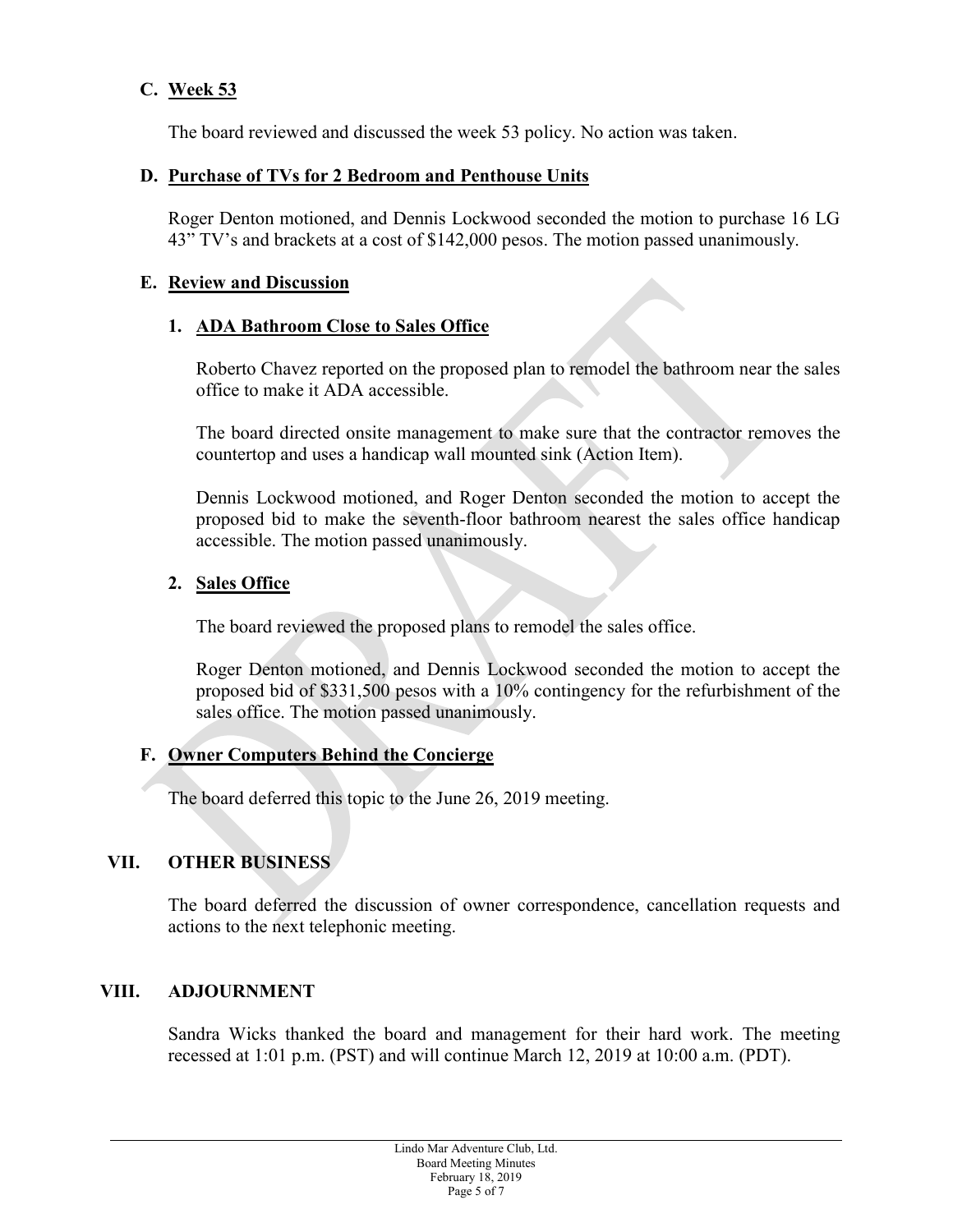## **C. Week 53**

The board reviewed and discussed the week 53 policy. No action was taken.

#### **D. Purchase of TVs for 2 Bedroom and Penthouse Units**

Roger Denton motioned, and Dennis Lockwood seconded the motion to purchase 16 LG 43" TV's and brackets at a cost of \$142,000 pesos. The motion passed unanimously.

#### **E. Review and Discussion**

#### **1. ADA Bathroom Close to Sales Office**

Roberto Chavez reported on the proposed plan to remodel the bathroom near the sales office to make it ADA accessible.

The board directed onsite management to make sure that the contractor removes the countertop and uses a handicap wall mounted sink (Action Item).

Dennis Lockwood motioned, and Roger Denton seconded the motion to accept the proposed bid to make the seventh-floor bathroom nearest the sales office handicap accessible. The motion passed unanimously.

#### **2. Sales Office**

The board reviewed the proposed plans to remodel the sales office.

Roger Denton motioned, and Dennis Lockwood seconded the motion to accept the proposed bid of \$331,500 pesos with a 10% contingency for the refurbishment of the sales office. The motion passed unanimously.

#### **F. Owner Computers Behind the Concierge**

The board deferred this topic to the June 26, 2019 meeting.

#### **VII. OTHER BUSINESS**

The board deferred the discussion of owner correspondence, cancellation requests and actions to the next telephonic meeting.

#### **VIII. ADJOURNMENT**

Sandra Wicks thanked the board and management for their hard work. The meeting recessed at 1:01 p.m. (PST) and will continue March 12, 2019 at 10:00 a.m. (PDT).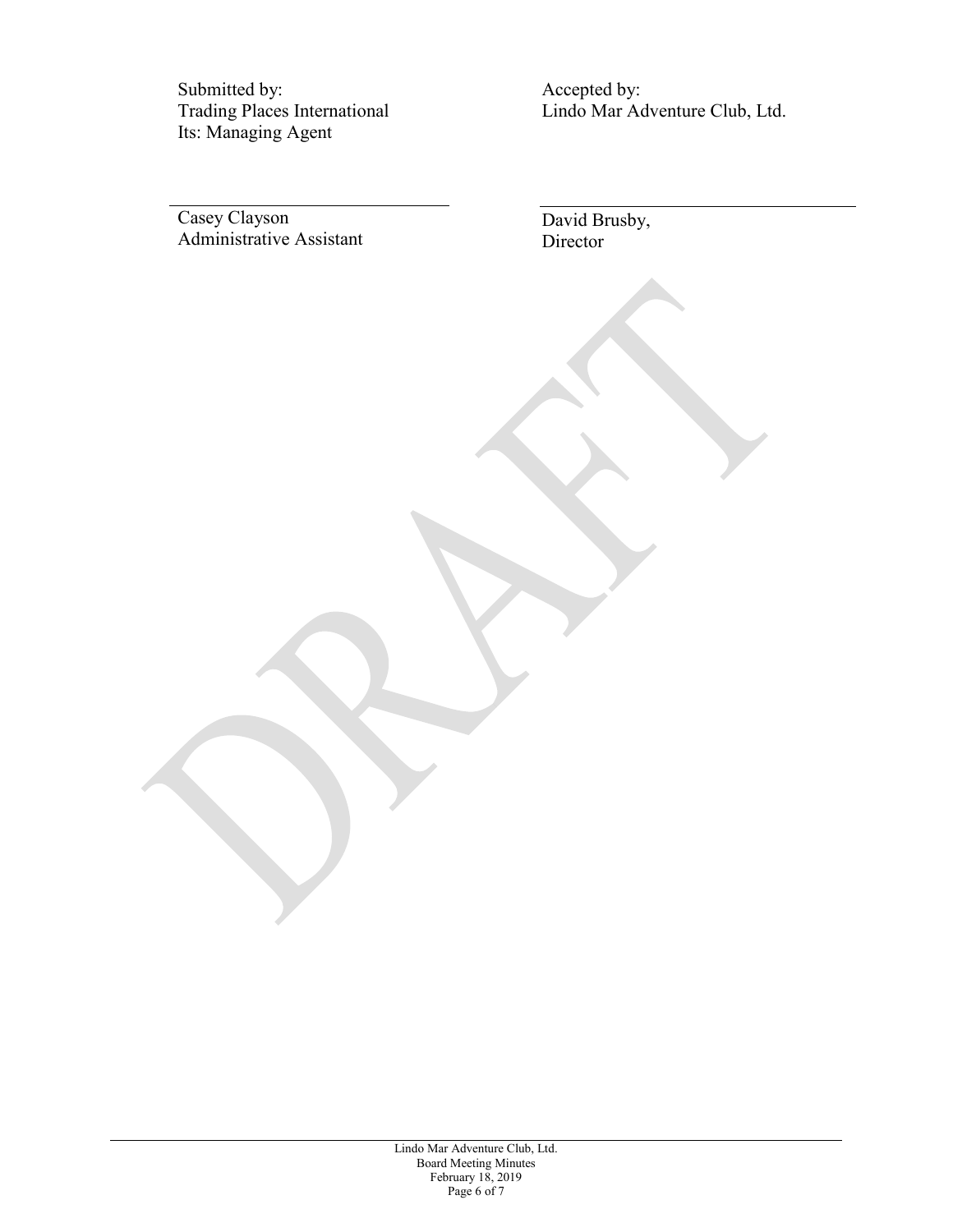Submitted by: Trading Places International Its: Managing Agent

Accepted by: Lindo Mar Adventure Club, Ltd.

Casey Clayson Administrative Assistant David Brusby, Director